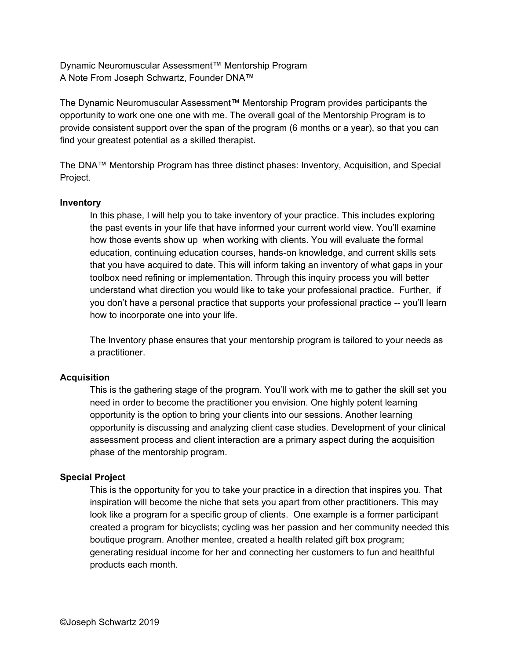Dynamic Neuromuscular Assessment™ Mentorship Program A Note From Joseph Schwartz, Founder DNA™

The Dynamic Neuromuscular Assessment™ Mentorship Program provides participants the opportunity to work one one one with me. The overall goal of the Mentorship Program is to provide consistent support over the span of the program (6 months or a year), so that you can find your greatest potential as a skilled therapist.

The DNA™ Mentorship Program has three distinct phases: Inventory, Acquisition, and Special Project.

## **Inventory**

In this phase, I will help you to take inventory of your practice. This includes exploring the past events in your life that have informed your current world view. You'll examine how those events show up when working with clients. You will evaluate the formal education, continuing education courses, hands-on knowledge, and current skills sets that you have acquired to date. This will inform taking an inventory of what gaps in your toolbox need refining or implementation. Through this inquiry process you will better understand what direction you would like to take your professional practice. Further, if you don't have a personal practice that supports your professional practice -- you'll learn how to incorporate one into your life.

The Inventory phase ensures that your mentorship program is tailored to your needs as a practitioner.

## **Acquisition**

This is the gathering stage of the program. You'll work with me to gather the skill set you need in order to become the practitioner you envision. One highly potent learning opportunity is the option to bring your clients into our sessions. Another learning opportunity is discussing and analyzing client case studies. Development of your clinical assessment process and client interaction are a primary aspect during the acquisition phase of the mentorship program.

## **Special Project**

This is the opportunity for you to take your practice in a direction that inspires you. That inspiration will become the niche that sets you apart from other practitioners. This may look like a program for a specific group of clients. One example is a former participant created a program for bicyclists; cycling was her passion and her community needed this boutique program. Another mentee, created a health related gift box program; generating residual income for her and connecting her customers to fun and healthful products each month.